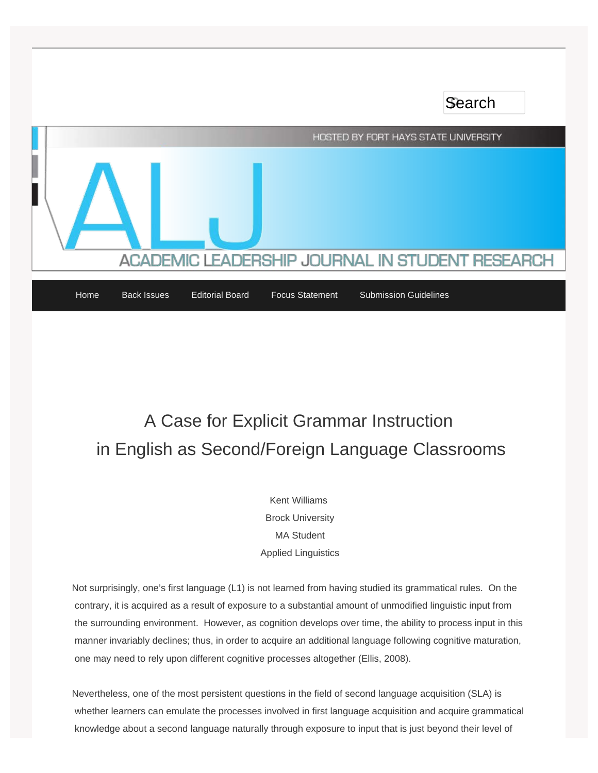HOSTED BY FORT HAYS STATE UNIVERSITY **EADERSHIP JOURNAL IN STUDENT RESEARCH ACADEMIC L** 

Search

[Home](http://www.aljinstudentresearch.org/) [Back Issues](http://www.aljinstudentresearch.org/back-issues/) [Editorial Board](http://www.aljinstudentresearch.org/editorialboard/) [Focus Statement](http://www.aljinstudentresearch.org/focus-statement/) [Submission Guidelines](http://www.aljinstudentresearch.org/submission-guidelines-2/)

# A Case for Explicit Grammar Instruction in English as Second/Foreign Language Classrooms

Kent Williams Brock University MA Student Applied Linguistics

Not surprisingly, one's first language (L1) is not learned from having studied its grammatical rules. On the contrary, it is acquired as a result of exposure to a substantial amount of unmodified linguistic input from the surrounding environment. However, as cognition develops over time, the ability to process input in this manner invariably declines; thus, in order to acquire an additional language following cognitive maturation, one may need to rely upon different cognitive processes altogether (Ellis, 2008).

Nevertheless, one of the most persistent questions in the field of second language acquisition (SLA) is whether learners can emulate the processes involved in first language acquisition and acquire grammatical knowledge about a second language naturally through exposure to input that is just beyond their level of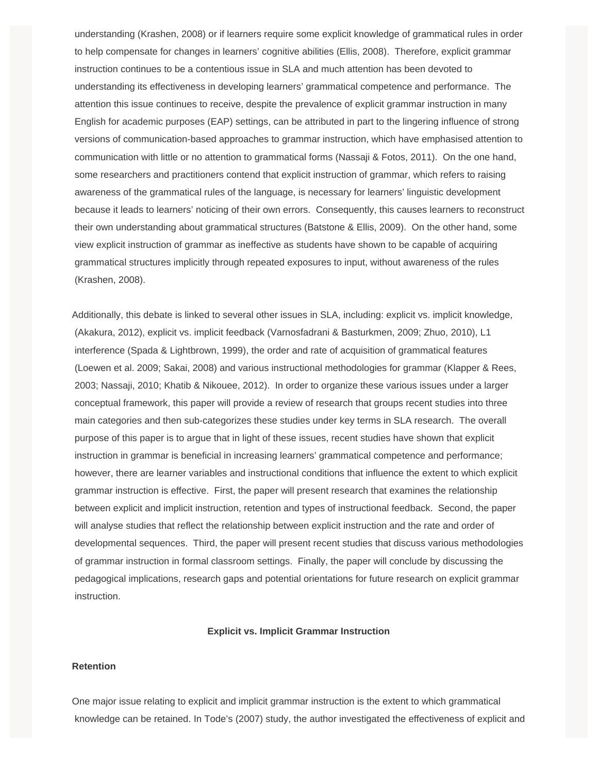understanding (Krashen, 2008) or if learners require some explicit knowledge of grammatical rules in order to help compensate for changes in learners' cognitive abilities (Ellis, 2008). Therefore, explicit grammar instruction continues to be a contentious issue in SLA and much attention has been devoted to understanding its effectiveness in developing learners' grammatical competence and performance. The attention this issue continues to receive, despite the prevalence of explicit grammar instruction in many English for academic purposes (EAP) settings, can be attributed in part to the lingering influence of strong versions of communication-based approaches to grammar instruction, which have emphasised attention to communication with little or no attention to grammatical forms (Nassaji & Fotos, 2011). On the one hand, some researchers and practitioners contend that explicit instruction of grammar, which refers to raising awareness of the grammatical rules of the language, is necessary for learners' linguistic development because it leads to learners' noticing of their own errors. Consequently, this causes learners to reconstruct their own understanding about grammatical structures (Batstone & Ellis, 2009). On the other hand, some view explicit instruction of grammar as ineffective as students have shown to be capable of acquiring grammatical structures implicitly through repeated exposures to input, without awareness of the rules (Krashen, 2008).

Additionally, this debate is linked to several other issues in SLA, including: explicit vs. implicit knowledge, (Akakura, 2012), explicit vs. implicit feedback (Varnosfadrani & Basturkmen, 2009; Zhuo, 2010), L1 interference (Spada & Lightbrown, 1999), the order and rate of acquisition of grammatical features (Loewen et al. 2009; Sakai, 2008) and various instructional methodologies for grammar (Klapper & Rees, 2003; Nassaji, 2010; Khatib & Nikouee, 2012). In order to organize these various issues under a larger conceptual framework, this paper will provide a review of research that groups recent studies into three main categories and then sub-categorizes these studies under key terms in SLA research. The overall purpose of this paper is to argue that in light of these issues, recent studies have shown that explicit instruction in grammar is beneficial in increasing learners' grammatical competence and performance; however, there are learner variables and instructional conditions that influence the extent to which explicit grammar instruction is effective. First, the paper will present research that examines the relationship between explicit and implicit instruction, retention and types of instructional feedback. Second, the paper will analyse studies that reflect the relationship between explicit instruction and the rate and order of developmental sequences. Third, the paper will present recent studies that discuss various methodologies of grammar instruction in formal classroom settings. Finally, the paper will conclude by discussing the pedagogical implications, research gaps and potential orientations for future research on explicit grammar instruction.

#### **Explicit vs. Implicit Grammar Instruction**

#### **Retention**

One major issue relating to explicit and implicit grammar instruction is the extent to which grammatical knowledge can be retained. In Tode's (2007) study, the author investigated the effectiveness of explicit and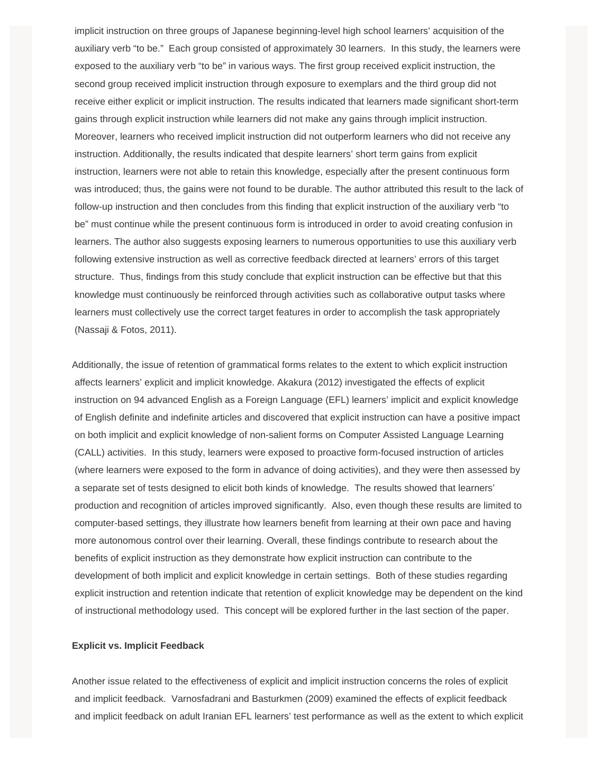implicit instruction on three groups of Japanese beginning-level high school learners' acquisition of the auxiliary verb "to be." Each group consisted of approximately 30 learners. In this study, the learners were exposed to the auxiliary verb "to be" in various ways. The first group received explicit instruction, the second group received implicit instruction through exposure to exemplars and the third group did not receive either explicit or implicit instruction. The results indicated that learners made significant short-term gains through explicit instruction while learners did not make any gains through implicit instruction. Moreover, learners who received implicit instruction did not outperform learners who did not receive any instruction. Additionally, the results indicated that despite learners' short term gains from explicit instruction, learners were not able to retain this knowledge, especially after the present continuous form was introduced; thus, the gains were not found to be durable. The author attributed this result to the lack of follow-up instruction and then concludes from this finding that explicit instruction of the auxiliary verb "to be" must continue while the present continuous form is introduced in order to avoid creating confusion in learners. The author also suggests exposing learners to numerous opportunities to use this auxiliary verb following extensive instruction as well as corrective feedback directed at learners' errors of this target structure. Thus, findings from this study conclude that explicit instruction can be effective but that this knowledge must continuously be reinforced through activities such as collaborative output tasks where learners must collectively use the correct target features in order to accomplish the task appropriately (Nassaji & Fotos, 2011).

Additionally, the issue of retention of grammatical forms relates to the extent to which explicit instruction affects learners' explicit and implicit knowledge. Akakura (2012) investigated the effects of explicit instruction on 94 advanced English as a Foreign Language (EFL) learners' implicit and explicit knowledge of English definite and indefinite articles and discovered that explicit instruction can have a positive impact on both implicit and explicit knowledge of non-salient forms on Computer Assisted Language Learning (CALL) activities. In this study, learners were exposed to proactive form-focused instruction of articles (where learners were exposed to the form in advance of doing activities), and they were then assessed by a separate set of tests designed to elicit both kinds of knowledge. The results showed that learners' production and recognition of articles improved significantly. Also, even though these results are limited to computer-based settings, they illustrate how learners benefit from learning at their own pace and having more autonomous control over their learning. Overall, these findings contribute to research about the benefits of explicit instruction as they demonstrate how explicit instruction can contribute to the development of both implicit and explicit knowledge in certain settings. Both of these studies regarding explicit instruction and retention indicate that retention of explicit knowledge may be dependent on the kind of instructional methodology used. This concept will be explored further in the last section of the paper.

## **Explicit vs. Implicit Feedback**

Another issue related to the effectiveness of explicit and implicit instruction concerns the roles of explicit and implicit feedback. Varnosfadrani and Basturkmen (2009) examined the effects of explicit feedback and implicit feedback on adult Iranian EFL learners' test performance as well as the extent to which explicit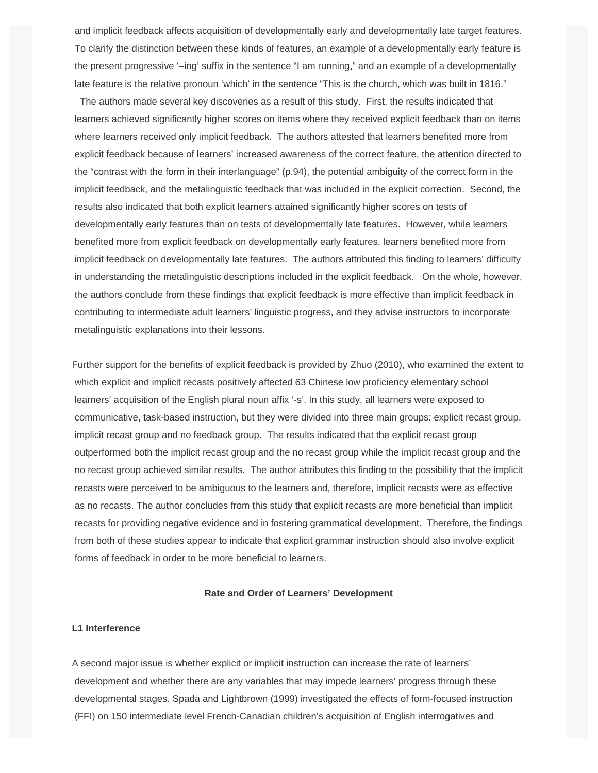and implicit feedback affects acquisition of developmentally early and developmentally late target features. To clarify the distinction between these kinds of features, an example of a developmentally early feature is the present progressive '–ing' suffix in the sentence "I am running," and an example of a developmentally late feature is the relative pronoun 'which' in the sentence "This is the church, which was built in 1816."

 The authors made several key discoveries as a result of this study. First, the results indicated that learners achieved significantly higher scores on items where they received explicit feedback than on items where learners received only implicit feedback. The authors attested that learners benefited more from explicit feedback because of learners' increased awareness of the correct feature, the attention directed to the "contrast with the form in their interlanguage" (p.94), the potential ambiguity of the correct form in the implicit feedback, and the metalinguistic feedback that was included in the explicit correction. Second, the results also indicated that both explicit learners attained significantly higher scores on tests of developmentally early features than on tests of developmentally late features. However, while learners benefited more from explicit feedback on developmentally early features, learners benefited more from implicit feedback on developmentally late features. The authors attributed this finding to learners' difficulty in understanding the metalinguistic descriptions included in the explicit feedback. On the whole, however, the authors conclude from these findings that explicit feedback is more effective than implicit feedback in contributing to intermediate adult learners' linguistic progress, and they advise instructors to incorporate metalinguistic explanations into their lessons.

Further support for the benefits of explicit feedback is provided by Zhuo (2010), who examined the extent to which explicit and implicit recasts positively affected 63 Chinese low proficiency elementary school learners' acquisition of the English plural noun affix '-s'. In this study, all learners were exposed to communicative, task-based instruction, but they were divided into three main groups: explicit recast group, implicit recast group and no feedback group. The results indicated that the explicit recast group outperformed both the implicit recast group and the no recast group while the implicit recast group and the no recast group achieved similar results. The author attributes this finding to the possibility that the implicit recasts were perceived to be ambiguous to the learners and, therefore, implicit recasts were as effective as no recasts. The author concludes from this study that explicit recasts are more beneficial than implicit recasts for providing negative evidence and in fostering grammatical development. Therefore, the findings from both of these studies appear to indicate that explicit grammar instruction should also involve explicit forms of feedback in order to be more beneficial to learners.

## **Rate and Order of Learners' Development**

## **L1 Interference**

A second major issue is whether explicit or implicit instruction can increase the rate of learners' development and whether there are any variables that may impede learners' progress through these developmental stages. Spada and Lightbrown (1999) investigated the effects of form-focused instruction (FFI) on 150 intermediate level French-Canadian children's acquisition of English interrogatives and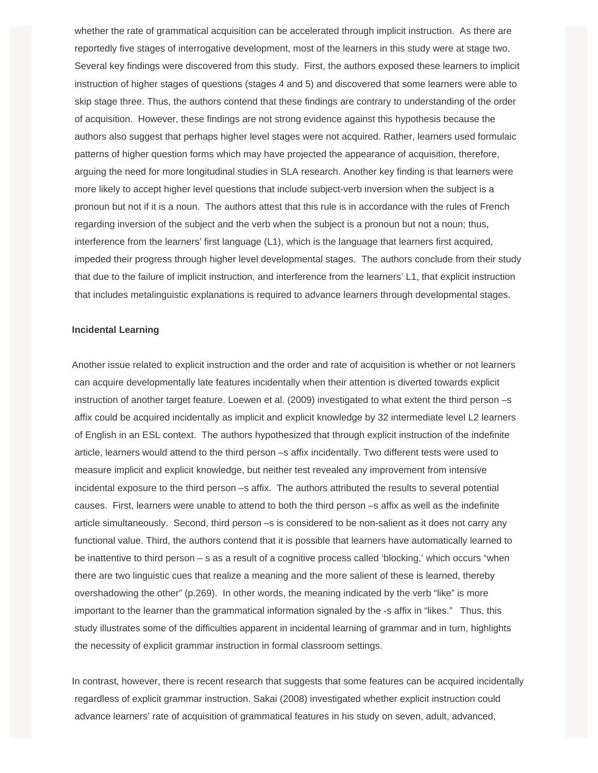whether the rate of grammatical acquisition can be accelerated through implicit instruction. As there are reportedly five stages of interrogative development, most of the learners in this study were at stage two. Several key findings were discovered from this study. First, the authors exposed these learners to implicit instruction of higher stages of questions (stages 4 and 5) and discovered that some learners were able to skip stage three. Thus, the authors contend that these findings are contrary to understanding of the order of acquisition. However, these findings are not strong evidence against this hypothesis because the authors also suggest that perhaps higher level stages were not acquired. Rather, learners used formulaic patterns of higher question forms which may have projected the appearance of acquisition, therefore, arguing the need for more longitudinal studies in SLA research. Another key finding is that learners were more likely to accept higher level questions that include subject-verb inversion when the subject is a pronoun but not if it is a noun. The authors attest that this rule is in accordance with the rules of French regarding inversion of the subject and the verb when the subject is a pronoun but not a noun; thus, interference from the learners' first language (L1), which is the language that learners first acquired, impeded their progress through higher level developmental stages. The authors conclude from their study that due to the failure of implicit instruction, and interference from the learners' L1, that explicit instruction that includes metalinguistic explanations is required to advance learners through developmental stages.

#### **Incidental Learning**

Another issue related to explicit instruction and the order and rate of acquisition is whether or not learners can acquire developmentally late features incidentally when their attention is diverted towards explicit instruction of another target feature. Loewen et al. (2009) investigated to what extent the third person –s affix could be acquired incidentally as implicit and explicit knowledge by 32 intermediate level L2 learners of English in an ESL context. The authors hypothesized that through explicit instruction of the indefinite article, learners would attend to the third person –s affix incidentally. Two different tests were used to measure implicit and explicit knowledge, but neither test revealed any improvement from intensive incidental exposure to the third person –s affix. The authors attributed the results to several potential causes. First, learners were unable to attend to both the third person –s affix as well as the indefinite article simultaneously. Second, third person –s is considered to be non-salient as it does not carry any functional value. Third, the authors contend that it is possible that learners have automatically learned to be inattentive to third person – s as a result of a cognitive process called 'blocking,' which occurs "when there are two linguistic cues that realize a meaning and the more salient of these is learned, thereby overshadowing the other" (p.269). In other words, the meaning indicated by the verb "like" is more important to the learner than the grammatical information signaled by the -s affix in "likes." Thus, this study illustrates some of the difficulties apparent in incidental learning of grammar and in turn, highlights the necessity of explicit grammar instruction in formal classroom settings.

In contrast, however, there is recent research that suggests that some features can be acquired incidentally regardless of explicit grammar instruction. Sakai (2008) investigated whether explicit instruction could advance learners' rate of acquisition of grammatical features in his study on seven, adult, advanced,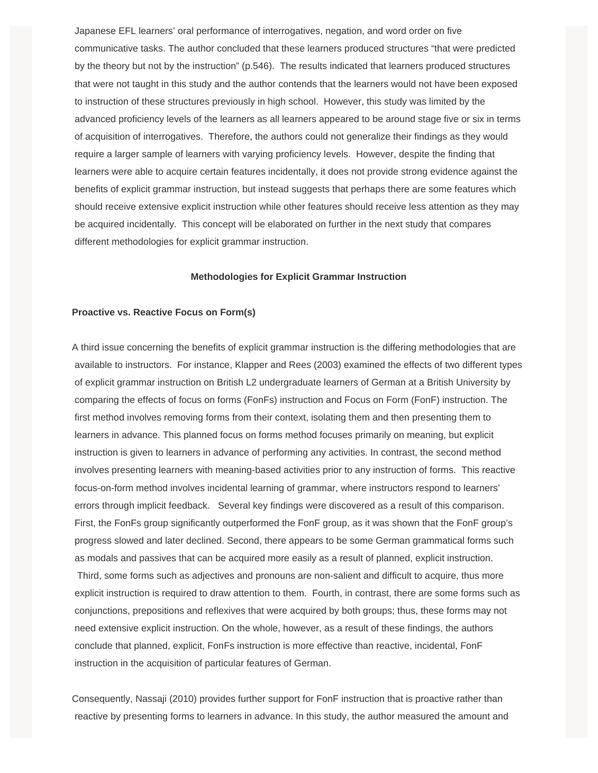Japanese EFL learners' oral performance of interrogatives, negation, and word order on five communicative tasks. The author concluded that these learners produced structures "that were predicted by the theory but not by the instruction" (p.546). The results indicated that learners produced structures that were not taught in this study and the author contends that the learners would not have been exposed to instruction of these structures previously in high school. However, this study was limited by the advanced proficiency levels of the learners as all learners appeared to be around stage five or six in terms of acquisition of interrogatives. Therefore, the authors could not generalize their findings as they would require a larger sample of learners with varying proficiency levels. However, despite the finding that learners were able to acquire certain features incidentally, it does not provide strong evidence against the benefits of explicit grammar instruction, but instead suggests that perhaps there are some features which should receive extensive explicit instruction while other features should receive less attention as they may be acquired incidentally. This concept will be elaborated on further in the next study that compares different methodologies for explicit grammar instruction.

#### **Methodologies for Explicit Grammar Instruction**

#### **Proactive vs. Reactive Focus on Form(s)**

A third issue concerning the benefits of explicit grammar instruction is the differing methodologies that are available to instructors. For instance, Klapper and Rees (2003) examined the effects of two different types of explicit grammar instruction on British L2 undergraduate learners of German at a British University by comparing the effects of focus on forms (FonFs) instruction and Focus on Form (FonF) instruction. The first method involves removing forms from their context, isolating them and then presenting them to learners in advance. This planned focus on forms method focuses primarily on meaning, but explicit instruction is given to learners in advance of performing any activities. In contrast, the second method involves presenting learners with meaning-based activities prior to any instruction of forms. This reactive focus-on-form method involves incidental learning of grammar, where instructors respond to learners' errors through implicit feedback. Several key findings were discovered as a result of this comparison. First, the FonFs group significantly outperformed the FonF group, as it was shown that the FonF group's progress slowed and later declined. Second, there appears to be some German grammatical forms such as modals and passives that can be acquired more easily as a result of planned, explicit instruction. Third, some forms such as adjectives and pronouns are non-salient and difficult to acquire, thus more explicit instruction is required to draw attention to them. Fourth, in contrast, there are some forms such as conjunctions, prepositions and reflexives that were acquired by both groups; thus, these forms may not need extensive explicit instruction. On the whole, however, as a result of these findings, the authors conclude that planned, explicit, FonFs instruction is more effective than reactive, incidental, FonF instruction in the acquisition of particular features of German.

Consequently, Nassaji (2010) provides further support for FonF instruction that is proactive rather than reactive by presenting forms to learners in advance. In this study, the author measured the amount and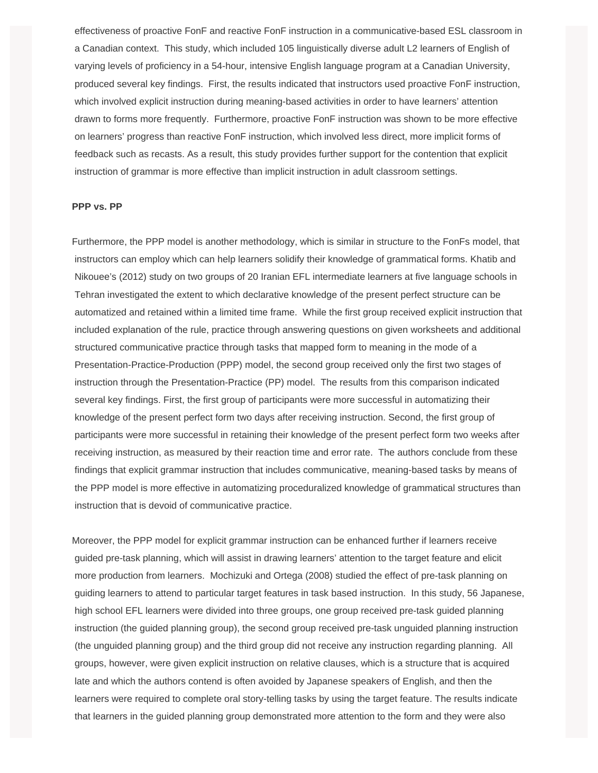effectiveness of proactive FonF and reactive FonF instruction in a communicative-based ESL classroom in a Canadian context. This study, which included 105 linguistically diverse adult L2 learners of English of varying levels of proficiency in a 54-hour, intensive English language program at a Canadian University, produced several key findings. First, the results indicated that instructors used proactive FonF instruction, which involved explicit instruction during meaning-based activities in order to have learners' attention drawn to forms more frequently. Furthermore, proactive FonF instruction was shown to be more effective on learners' progress than reactive FonF instruction, which involved less direct, more implicit forms of feedback such as recasts. As a result, this study provides further support for the contention that explicit instruction of grammar is more effective than implicit instruction in adult classroom settings.

#### **PPP vs. PP**

Furthermore, the PPP model is another methodology, which is similar in structure to the FonFs model, that instructors can employ which can help learners solidify their knowledge of grammatical forms. Khatib and Nikouee's (2012) study on two groups of 20 Iranian EFL intermediate learners at five language schools in Tehran investigated the extent to which declarative knowledge of the present perfect structure can be automatized and retained within a limited time frame. While the first group received explicit instruction that included explanation of the rule, practice through answering questions on given worksheets and additional structured communicative practice through tasks that mapped form to meaning in the mode of a Presentation-Practice-Production (PPP) model, the second group received only the first two stages of instruction through the Presentation-Practice (PP) model. The results from this comparison indicated several key findings. First, the first group of participants were more successful in automatizing their knowledge of the present perfect form two days after receiving instruction. Second, the first group of participants were more successful in retaining their knowledge of the present perfect form two weeks after receiving instruction, as measured by their reaction time and error rate. The authors conclude from these findings that explicit grammar instruction that includes communicative, meaning-based tasks by means of the PPP model is more effective in automatizing proceduralized knowledge of grammatical structures than instruction that is devoid of communicative practice.

Moreover, the PPP model for explicit grammar instruction can be enhanced further if learners receive guided pre-task planning, which will assist in drawing learners' attention to the target feature and elicit more production from learners. Mochizuki and Ortega (2008) studied the effect of pre-task planning on guiding learners to attend to particular target features in task based instruction. In this study, 56 Japanese, high school EFL learners were divided into three groups, one group received pre-task guided planning instruction (the guided planning group), the second group received pre-task unguided planning instruction (the unguided planning group) and the third group did not receive any instruction regarding planning. All groups, however, were given explicit instruction on relative clauses, which is a structure that is acquired late and which the authors contend is often avoided by Japanese speakers of English, and then the learners were required to complete oral story-telling tasks by using the target feature. The results indicate that learners in the guided planning group demonstrated more attention to the form and they were also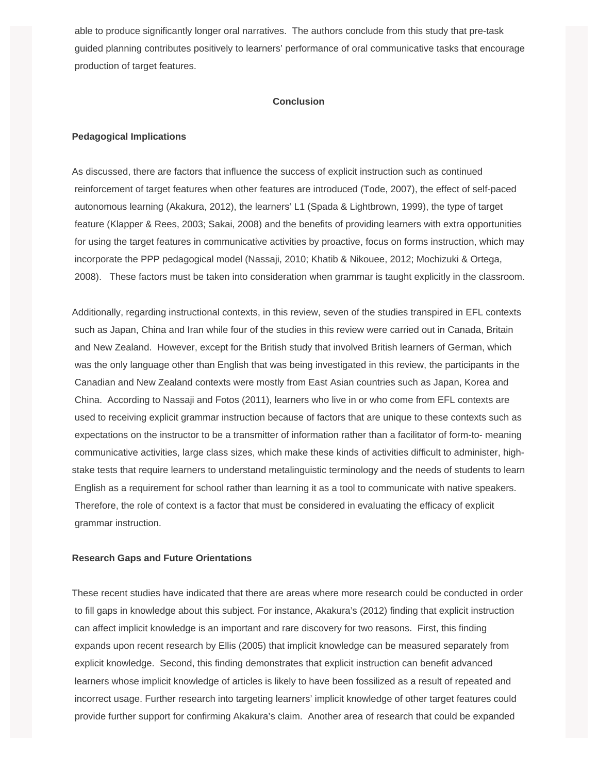able to produce significantly longer oral narratives. The authors conclude from this study that pre-task guided planning contributes positively to learners' performance of oral communicative tasks that encourage production of target features.

## **Conclusion**

## **Pedagogical Implications**

As discussed, there are factors that influence the success of explicit instruction such as continued reinforcement of target features when other features are introduced (Tode, 2007), the effect of self-paced autonomous learning (Akakura, 2012), the learners' L1 (Spada & Lightbrown, 1999), the type of target feature (Klapper & Rees, 2003; Sakai, 2008) and the benefits of providing learners with extra opportunities for using the target features in communicative activities by proactive, focus on forms instruction, which may incorporate the PPP pedagogical model (Nassaji, 2010; Khatib & Nikouee, 2012; Mochizuki & Ortega, 2008). These factors must be taken into consideration when grammar is taught explicitly in the classroom.

Additionally, regarding instructional contexts, in this review, seven of the studies transpired in EFL contexts such as Japan, China and Iran while four of the studies in this review were carried out in Canada, Britain and New Zealand. However, except for the British study that involved British learners of German, which was the only language other than English that was being investigated in this review, the participants in the Canadian and New Zealand contexts were mostly from East Asian countries such as Japan, Korea and China. According to Nassaji and Fotos (2011), learners who live in or who come from EFL contexts are used to receiving explicit grammar instruction because of factors that are unique to these contexts such as expectations on the instructor to be a transmitter of information rather than a facilitator of form-to- meaning communicative activities, large class sizes, which make these kinds of activities difficult to administer, highstake tests that require learners to understand metalinguistic terminology and the needs of students to learn English as a requirement for school rather than learning it as a tool to communicate with native speakers. Therefore, the role of context is a factor that must be considered in evaluating the efficacy of explicit grammar instruction.

## **Research Gaps and Future Orientations**

These recent studies have indicated that there are areas where more research could be conducted in order to fill gaps in knowledge about this subject. For instance, Akakura's (2012) finding that explicit instruction can affect implicit knowledge is an important and rare discovery for two reasons. First, this finding expands upon recent research by Ellis (2005) that implicit knowledge can be measured separately from explicit knowledge. Second, this finding demonstrates that explicit instruction can benefit advanced learners whose implicit knowledge of articles is likely to have been fossilized as a result of repeated and incorrect usage. Further research into targeting learners' implicit knowledge of other target features could provide further support for confirming Akakura's claim. Another area of research that could be expanded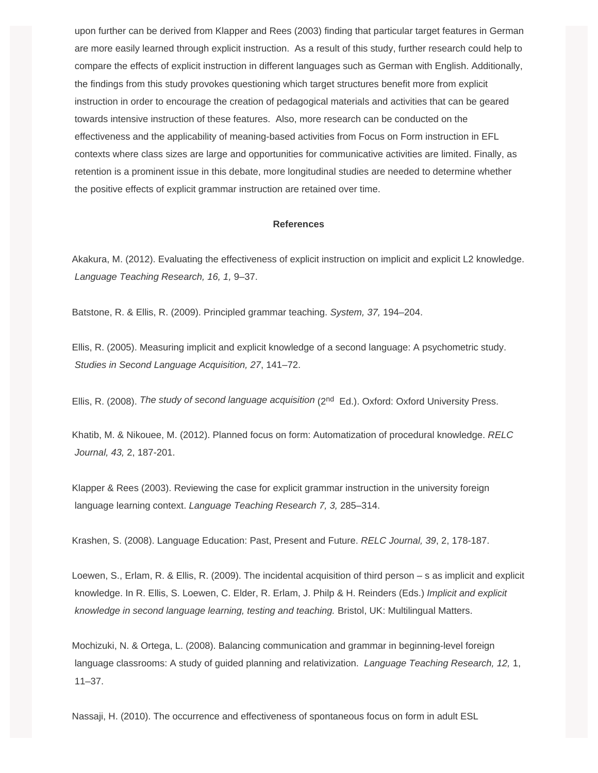upon further can be derived from Klapper and Rees (2003) finding that particular target features in German are more easily learned through explicit instruction. As a result of this study, further research could help to compare the effects of explicit instruction in different languages such as German with English. Additionally, the findings from this study provokes questioning which target structures benefit more from explicit instruction in order to encourage the creation of pedagogical materials and activities that can be geared towards intensive instruction of these features. Also, more research can be conducted on the effectiveness and the applicability of meaning-based activities from Focus on Form instruction in EFL contexts where class sizes are large and opportunities for communicative activities are limited. Finally, as retention is a prominent issue in this debate, more longitudinal studies are needed to determine whether the positive effects of explicit grammar instruction are retained over time.

#### **References**

Akakura, M. (2012). Evaluating the effectiveness of explicit instruction on implicit and explicit L2 knowledge. *Language Teaching Research, 16, 1,* 9–37.

Batstone, R. & Ellis, R. (2009). Principled grammar teaching. *System, 37,* 194–204.

Ellis, R. (2005). Measuring implicit and explicit knowledge of a second language: A psychometric study. *Studies in Second Language Acquisition, 27*, 141–72.

Ellis, R. (2008). The study of second language acquisition (2<sup>nd</sup> Ed.). Oxford: Oxford University Press.

Khatib, M. & Nikouee, M. (2012). Planned focus on form: Automatization of procedural knowledge. *RELC Journal, 43,* 2, 187-201.

Klapper & Rees (2003). Reviewing the case for explicit grammar instruction in the university foreign language learning context. *Language Teaching Research 7, 3,* 285–314.

Krashen, S. (2008). Language Education: Past, Present and Future. *RELC Journal, 39*, 2, 178-187.

Loewen, S., Erlam, R. & Ellis, R. (2009). The incidental acquisition of third person – s as implicit and explicit knowledge. In R. Ellis, S. Loewen, C. Elder, R. Erlam, J. Philp & H. Reinders (Eds.) *Implicit and explicit knowledge in second language learning, testing and teaching.* Bristol, UK: Multilingual Matters.

Mochizuki, N. & Ortega, L. (2008). Balancing communication and grammar in beginning-level foreign language classrooms: A study of guided planning and relativization. *Language Teaching Research, 12,* 1, 11–37.

Nassaji, H. (2010). The occurrence and effectiveness of spontaneous focus on form in adult ESL